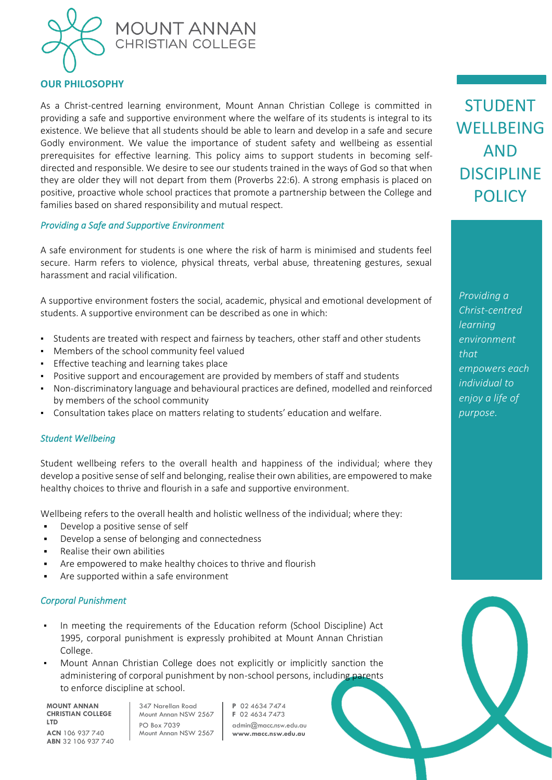

## **OUR PHILOSOPHY**

As a Christ-centred learning environment, Mount Annan Christian College is committed in providing a safe and supportive environment where the welfare of its students is integral to its existence. We believe that all students should be able to learn and develop in a safe and secure Godly environment. We value the importance of student safety and wellbeing as essential prerequisites for effective learning. This policy aims to support students in becoming selfdirected and responsible. We desire to see our students trained in the ways of God so that when they are older they will not depart from them (Proverbs 22:6). A strong emphasis is placed on positive, proactive whole school practices that promote a partnership between the College and families based on shared responsibility and mutual respect.

#### *Providing a Safe and Supportive Environment*

A safe environment for students is one where the risk of harm is minimised and students feel secure. Harm refers to violence, physical threats, verbal abuse, threatening gestures, sexual harassment and racial vilification.

A supportive environment fosters the social, academic, physical and emotional development of students. A supportive environment can be described as one in which:

- Students are treated with respect and fairness by teachers, other staff and other students
- Members of the school community feel valued
- **•** Effective teaching and learning takes place
- Positive support and encouragement are provided by members of staff and students
- Non-discriminatory language and behavioural practices are defined, modelled and reinforced by members of the school community
- Consultation takes place on matters relating to students' education and welfare.

#### *Student Wellbeing*

Student wellbeing refers to the overall health and happiness of the individual; where they develop a positive sense of self and belonging, realise their own abilities, are empowered to make healthy choices to thrive and flourish in a safe and supportive environment.

Wellbeing refers to the overall health and holistic wellness of the individual; where they:

- Develop a positive sense of self
- Develop a sense of belonging and connectedness
- Realise their own abilities
- Are empowered to make healthy choices to thrive and flourish
- Are supported within a safe environment

#### *Corporal Punishment*

- In meeting the requirements of the Education reform (School Discipline) Act 1995, corporal punishment is expressly prohibited at Mount Annan Christian College.
- Mount Annan Christian College does not explicitly or implicitly sanction the administering of corporal punishment by non-school persons, including parents to enforce discipline at school.

**MOUNT ANNAN CHRISTIAN COLLEGE LTD ACN** 106 937 740 **ABN** 32 106 937 740

347 Narellan Road Mount Annan NSW 2567 PO Box 7039 Mount Annan NSW 2567 **P** 02 4634 7474 **F** 02 4634 7473 admin@macc.nsw.edu.au **www.macc.nsw.edu.au**

STUDENT **WELLBEING** AND DISCIPLINE **POLICY**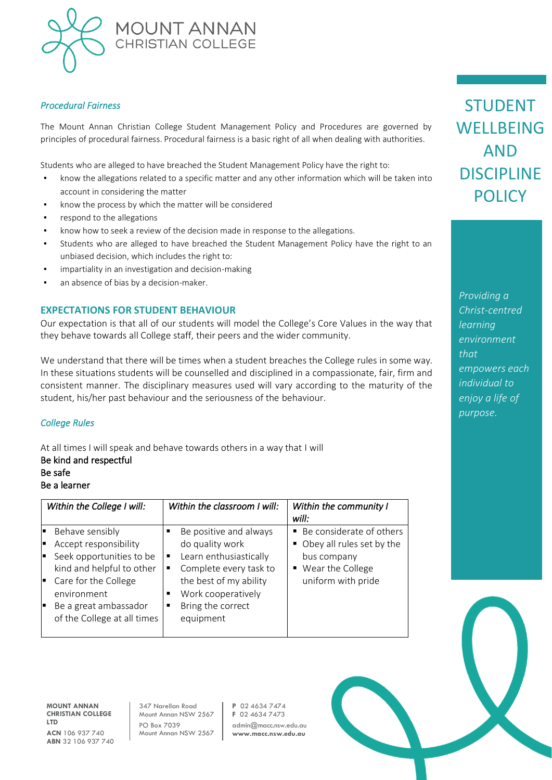

#### *Procedural Fairness*

The Mount Annan Christian College Student Management Policy and Procedures are governed by principles of procedural fairness. Procedural fairness is a basic right of all when dealing with authorities.

Students who are alleged to have breached the Student Management Policy have the right to:

- know the allegations related to a specific matter and any other information which will be taken into account in considering the matter
- know the process by which the matter will be considered
- respond to the allegations
- know how to seek a review of the decision made in response to the allegations.
- Students who are alleged to have breached the Student Management Policy have the right to an unbiased decision, which includes the right to:
- impartiality in an investigation and decision-making
- an absence of bias by a decision-maker.

#### **EXPECTATIONS FOR STUDENT BEHAVIOUR**

Our expectation is that all of our students will model the College's Core Values in the way that they behave towards all College staff, their peers and the wider community.

We understand that there will be times when a student breaches the College rules in some way. In these situations students will be counselled and disciplined in a compassionate, fair, firm and consistent manner. The disciplinary measures used will vary according to the maturity of the student, his/her past behaviour and the seriousness of the behaviour.

#### *College Rules*

At all times I will speak and behave towards others in a way that I will Be kind and respectful Be safe

#### Be a learner

| Within the College I will:                                                                                                                                                                                                 | Within the classroom I will:                                                                                                                                                    | Within the community I<br>will:                                                                                      |
|----------------------------------------------------------------------------------------------------------------------------------------------------------------------------------------------------------------------------|---------------------------------------------------------------------------------------------------------------------------------------------------------------------------------|----------------------------------------------------------------------------------------------------------------------|
| Behave sensibly<br>E<br>Accept responsibility<br>œ<br>Seek opportunities to be<br>E<br>kind and helpful to other<br>Care for the College<br>Þ<br>environment<br>Be a great ambassador<br>Iн<br>of the College at all times | Be positive and always<br>do quality work<br>Learn enthusiastically<br>Complete every task to<br>the best of my ability<br>Work cooperatively<br>Bring the correct<br>equipment | ■ Be considerate of others<br>• Obey all rules set by the<br>bus company<br>■ Wear the College<br>uniform with pride |

**MOUNT ANNAN CHRISTIAN COLLEGE LTD ACN** 106 937 740 **ABN** 32 106 937 740

347 Narellan Road Mount Annan NSW 2567 PO Box 7039 Mount Annan NSW 2567 **P** 02 4634 7474 **F** 02 4634 7473 admin@macc.nsw.edu.au **www.macc.nsw.edu.au**

STUDENT WELLBEING AND DISCIPLINE **POLICY**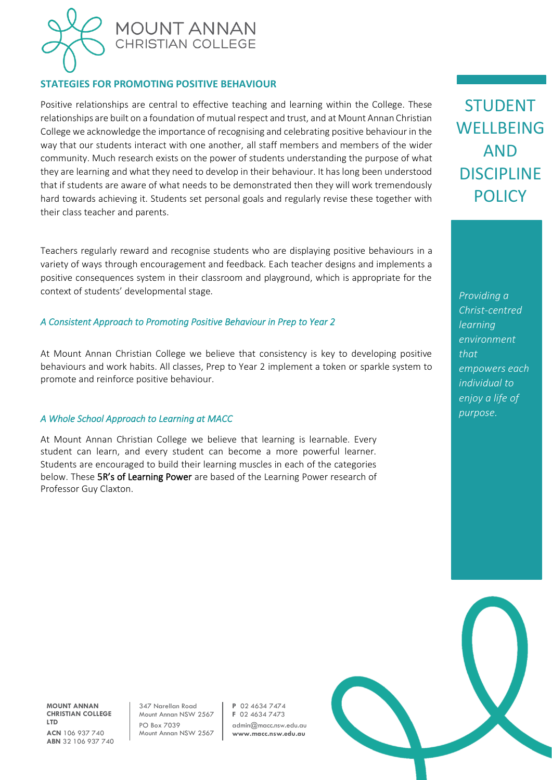

## **STATEGIES FOR PROMOTING POSITIVE BEHAVIOUR**

Positive relationships are central to effective teaching and learning within the College. These relationships are built on a foundation of mutual respect and trust, and at Mount Annan Christian College we acknowledge the importance of recognising and celebrating positive behaviour in the way that our students interact with one another, all staff members and members of the wider community. Much research exists on the power of students understanding the purpose of what they are learning and what they need to develop in their behaviour. It has long been understood that if students are aware of what needs to be demonstrated then they will work tremendously hard towards achieving it. Students set personal goals and regularly revise these together with their class teacher and parents.

Teachers regularly reward and recognise students who are displaying positive behaviours in a variety of ways through encouragement and feedback. Each teacher designs and implements a positive consequences system in their classroom and playground, which is appropriate for the context of students' developmental stage.

#### *A Consistent Approach to Promoting Positive Behaviour in Prep to Year 2*

At Mount Annan Christian College we believe that consistency is key to developing positive behaviours and work habits. All classes, Prep to Year 2 implement a token or sparkle system to promote and reinforce positive behaviour.

#### *A Whole School Approach to Learning at MACC*

At Mount Annan Christian College we believe that learning is learnable. Every student can learn, and every student can become a more powerful learner. Students are encouraged to build their learning muscles in each of the categories below. These 5R's of Learning Power are based of the Learning Power research of Professor Guy Claxton.

STUDENT WELLBEING AND DISCIPLINE **POLICY** 

*Providing a Christ-centred learning environment that empowers each individual to enjoy a life of purpose.*

**MOUNT ANNAN CHRISTIAN COLLEGE LTD ACN** 106 937 740 **ABN** 32 106 937 740

347 Narellan Road Mount Annan NSW 2567 PO Box 7039 Mount Annan NSW 2567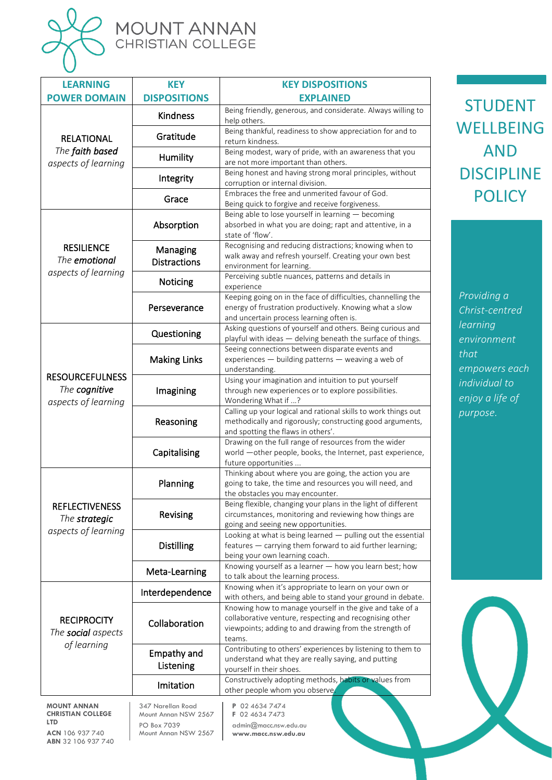

**CHRISTIAN COLLEGE** 

Mount Annan NSW 2567

**F** 02 4634 7473 admin@macc.nsw.edu.au **www.macc.nsw.edu.au**

PO Box 7039 Mount Annan NSW 2567

**ACN** 106 937 740 **ABN** 32 106 937 740

**LTD**

|  | MOUNT ANNAN              |
|--|--------------------------|
|  | <b>CHRISTIAN COLLEGE</b> |

| <b>LEARNING</b>                                                | <b>KEY</b>                      | <b>KEY DISPOSITIONS</b>                                                                                                                                                                 |
|----------------------------------------------------------------|---------------------------------|-----------------------------------------------------------------------------------------------------------------------------------------------------------------------------------------|
| <b>POWER DOMAIN</b>                                            | <b>DISPOSITIONS</b>             | <b>EXPLAINED</b>                                                                                                                                                                        |
|                                                                | Kindness                        | Being friendly, generous, and considerate. Always willing to<br>help others.                                                                                                            |
| <b>RELATIONAL</b>                                              | Gratitude                       | Being thankful, readiness to show appreciation for and to<br>return kindness.                                                                                                           |
| The faith based<br>aspects of learning                         | <b>Humility</b>                 | Being modest, wary of pride, with an awareness that you<br>are not more important than others.                                                                                          |
|                                                                | Integrity                       | Being honest and having strong moral principles, without<br>corruption or internal division.                                                                                            |
|                                                                | Grace                           | Embraces the free and unmerited favour of God.<br>Being quick to forgive and receive forgiveness.                                                                                       |
|                                                                | Absorption                      | Being able to lose yourself in learning - becoming<br>absorbed in what you are doing; rapt and attentive, in a<br>state of 'flow'.                                                      |
| <b>RESILIENCE</b><br>The emotional                             | Managing<br><b>Distractions</b> | Recognising and reducing distractions; knowing when to<br>walk away and refresh yourself. Creating your own best<br>environment for learning.                                           |
| aspects of learning                                            | Noticing                        | Perceiving subtle nuances, patterns and details in<br>experience                                                                                                                        |
|                                                                | Perseverance                    | Keeping going on in the face of difficulties, channelling the<br>energy of frustration productively. Knowing what a slow<br>and uncertain process learning often is.                    |
|                                                                | Questioning                     | Asking questions of yourself and others. Being curious and<br>playful with ideas - delving beneath the surface of things.                                                               |
|                                                                | <b>Making Links</b>             | Seeing connections between disparate events and<br>experiences - building patterns - weaving a web of<br>understanding.                                                                 |
| <b>RESOURCEFULNESS</b><br>The cognitive<br>aspects of learning | Imagining                       | Using your imagination and intuition to put yourself<br>through new experiences or to explore possibilities.<br>Wondering What if ?                                                     |
|                                                                | Reasoning                       | Calling up your logical and rational skills to work things out<br>methodically and rigorously; constructing good arguments,<br>and spotting the flaws in others'.                       |
|                                                                | Capitalising                    | Drawing on the full range of resources from the wider<br>world -other people, books, the Internet, past experience,<br>future opportunities                                             |
|                                                                | Planning                        | Thinking about where you are going, the action you are<br>going to take, the time and resources you will need, and<br>the obstacles you may encounter.                                  |
| <b>REFLECTIVENESS</b><br>The strategic                         | Revising                        | Being flexible, changing your plans in the light of different<br>circumstances, monitoring and reviewing how things are<br>going and seeing new opportunities.                          |
| aspects of learning                                            | <b>Distilling</b>               | Looking at what is being learned - pulling out the essential<br>features - carrying them forward to aid further learning;<br>being your own learning coach.                             |
|                                                                | Meta-Learning                   | Knowing yourself as a learner - how you learn best; how<br>to talk about the learning process.                                                                                          |
|                                                                | Interdependence                 | Knowing when it's appropriate to learn on your own or<br>with others, and being able to stand your ground in debate.                                                                    |
| <b>RECIPROCITY</b><br>The <b>social</b> aspects<br>of learning | Collaboration                   | Knowing how to manage yourself in the give and take of a<br>collaborative venture, respecting and recognising other<br>viewpoints; adding to and drawing from the strength of<br>teams. |
|                                                                | Empathy and<br>Listening        | Contributing to others' experiences by listening to them to<br>understand what they are really saying, and putting<br>yourself in their shoes.                                          |
|                                                                | Imitation                       | Constructively adopting methods, habits or values from<br>other people whom you observe.                                                                                                |
| <b>MOUNT ANNAN</b>                                             | 347 Narellan Road               | P 02 4634 7474                                                                                                                                                                          |

STUDENT **WELLBEING** AND **DISCIPLINE POLICY** 

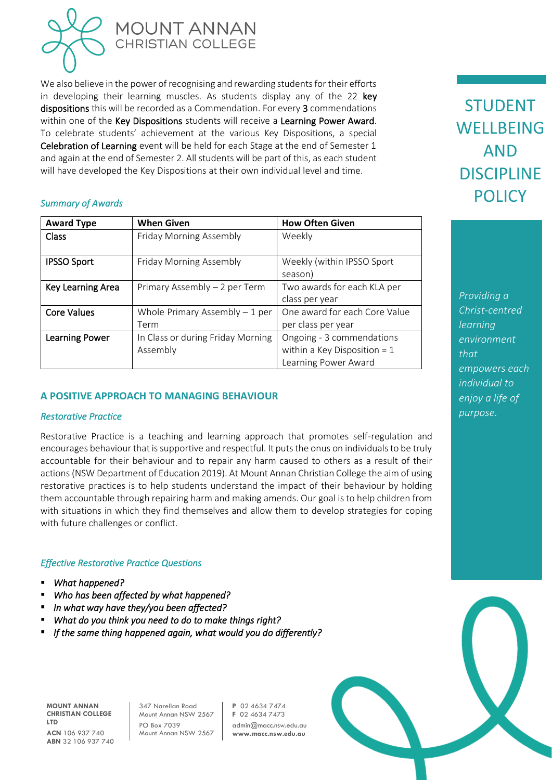

We also believe in the power of recognising and rewarding students for their efforts in developing their learning muscles. As students display any of the 22 key dispositions this will be recorded as a Commendation. For every 3 commendations within one of the Key Dispositions students will receive a Learning Power Award. To celebrate students' achievement at the various Key Dispositions, a special Celebration of Learning event will be held for each Stage at the end of Semester 1 and again at the end of Semester 2. All students will be part of this, as each student will have developed the Key Dispositions at their own individual level and time.

## *Summary of Awards*

| <b>Award Type</b>     | <b>When Given</b>                 | <b>How Often Given</b>         |
|-----------------------|-----------------------------------|--------------------------------|
| Class                 | Friday Morning Assembly           | Weekly                         |
|                       |                                   |                                |
| <b>IPSSO Sport</b>    | Friday Morning Assembly           | Weekly (within IPSSO Sport     |
|                       |                                   | season)                        |
| Key Learning Area     | Primary Assembly - 2 per Term     | Two awards for each KLA per    |
|                       |                                   | class per year                 |
| <b>Core Values</b>    | Whole Primary Assembly $-1$ per   | One award for each Core Value  |
|                       | Term                              | per class per year             |
| <b>Learning Power</b> | In Class or during Friday Morning | Ongoing - 3 commendations      |
|                       | Assembly                          | within a Key Disposition = $1$ |
|                       |                                   | Learning Power Award           |

## **A POSITIVE APPROACH TO MANAGING BEHAVIOUR**

#### *Restorative Practice*

Restorative Practice is a teaching and learning approach that promotes self-regulation and encourages behaviour that is supportive and respectful. It puts the onus on individuals to be truly accountable for their behaviour and to repair any harm caused to others as a result of their actions (NSW Department of Education 2019). At Mount Annan Christian College the aim of using restorative practices is to help students understand the impact of their behaviour by holding them accountable through repairing harm and making amends. Our goal is to help children from with situations in which they find themselves and allow them to develop strategies for coping with future challenges or conflict.

#### *Effective Restorative Practice Questions*

- *What happened?*
- *Who has been affected by what happened?*
- In what way have they/you been affected?
- *What do you think you need to do to make things right?*
- *If the same thing happened again, what would you do differently?*

**MOUNT ANNAN CHRISTIAN COLLEGE LTD ACN** 106 937 740 **ABN** 32 106 937 740

347 Narellan Road Mount Annan NSW 2567 PO Box 7039 Mount Annan NSW 2567 **P** 02 4634 7474 **F** 02 4634 7473 admin@macc.nsw.edu.au **www.macc.nsw.edu.au**

STUDENT WELLBEING AND DISCIPLINE **POLICY**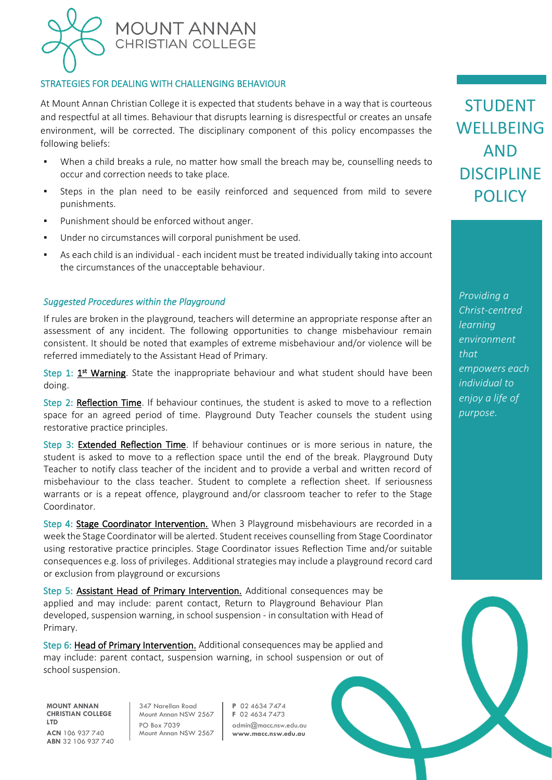

### STRATEGIES FOR DEALING WITH CHALLENGING BEHAVIOUR

At Mount Annan Christian College it is expected that students behave in a way that is courteous and respectful at all times. Behaviour that disrupts learning is disrespectful or creates an unsafe environment, will be corrected. The disciplinary component of this policy encompasses the following beliefs:

- When a child breaks a rule, no matter how small the breach may be, counselling needs to occur and correction needs to take place.
- Steps in the plan need to be easily reinforced and sequenced from mild to severe punishments.
- Punishment should be enforced without anger.
- Under no circumstances will corporal punishment be used.
- As each child is an individual each incident must be treated individually taking into account the circumstances of the unacceptable behaviour.

#### *Suggested Procedures within the Playground*

If rules are broken in the playground, teachers will determine an appropriate response after an assessment of any incident. The following opportunities to change misbehaviour remain consistent. It should be noted that examples of extreme misbehaviour and/or violence will be referred immediately to the Assistant Head of Primary.

Step 1: 1<sup>st</sup> Warning. State the inappropriate behaviour and what student should have been doing.

Step 2: Reflection Time. If behaviour continues, the student is asked to move to a reflection space for an agreed period of time. Playground Duty Teacher counsels the student using restorative practice principles.

Step 3: Extended Reflection Time. If behaviour continues or is more serious in nature, the student is asked to move to a reflection space until the end of the break. Playground Duty Teacher to notify class teacher of the incident and to provide a verbal and written record of misbehaviour to the class teacher. Student to complete a reflection sheet. If seriousness warrants or is a repeat offence, playground and/or classroom teacher to refer to the Stage Coordinator.

Step 4: Stage Coordinator Intervention. When 3 Playground misbehaviours are recorded in a week the Stage Coordinator will be alerted. Student receives counselling from Stage Coordinator using restorative practice principles. Stage Coordinator issues Reflection Time and/or suitable consequences e.g. loss of privileges. Additional strategies may include a playground record card or exclusion from playground or excursions

Step 5: Assistant Head of Primary Intervention. Additional consequences may be applied and may include: parent contact, Return to Playground Behaviour Plan developed, suspension warning, in school suspension - in consultation with Head of Primary.

Step 6: Head of Primary Intervention. Additional consequences may be applied and may include: parent contact, suspension warning, in school suspension or out of school suspension.

**MOUNT ANNAN CHRISTIAN COLLEGE LTD ACN** 106 937 740 **ABN** 32 106 937 740 347 Narellan Road Mount Annan NSW 2567 PO Box 7039 Mount Annan NSW 2567 **P** 02 4634 7474 **F** 02 4634 7473 admin@macc.nsw.edu.au **www.macc.nsw.edu.au**

STUDENT **WELLBEING** AND DISCIPLINE **POLICY**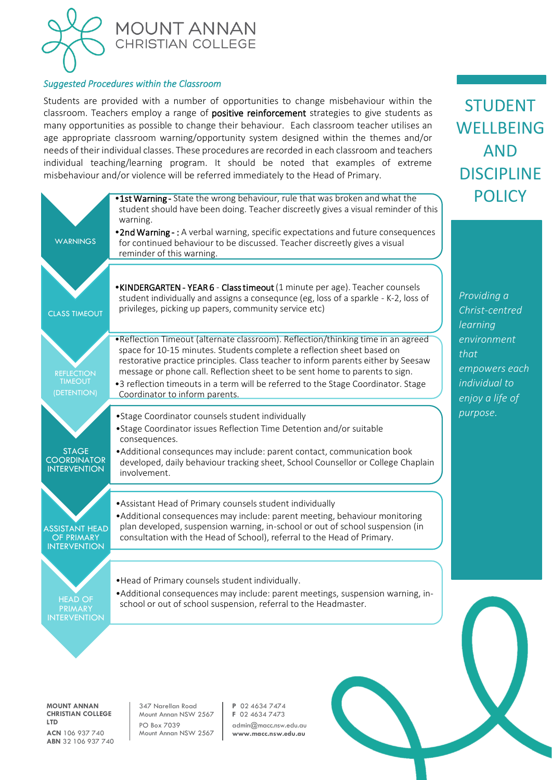

#### *Suggested Procedures within the Classroom*

Students are provided with a number of opportunities to change misbehaviour within the classroom. Teachers employ a range of positive reinforcement strategies to give students as many opportunities as possible to change their behaviour. Each classroom teacher utilises an age appropriate classroom warning/opportunity system designed within the themes and/or needs of their individual classes. These procedures are recorded in each classroom and teachers individual teaching/learning program. It should be noted that examples of extreme misbehaviour and/or violence will be referred immediately to the Head of Primary.

STUDENT

WELLBEING

AND

**DISCIPLINE** 

|                                                                   | .1st Warning - State the wrong behaviour, rule that was broken and what the<br>student should have been doing. Teacher discreetly gives a visual reminder of this<br>warning.                                                                                                                                                                                                                                                                          | POLI                                                                     |
|-------------------------------------------------------------------|--------------------------------------------------------------------------------------------------------------------------------------------------------------------------------------------------------------------------------------------------------------------------------------------------------------------------------------------------------------------------------------------------------------------------------------------------------|--------------------------------------------------------------------------|
| <b>WARNINGS</b>                                                   | .2nd Warning -: A verbal warning, specific expectations and future consequences<br>for continued behaviour to be discussed. Teacher discreetly gives a visual<br>reminder of this warning.                                                                                                                                                                                                                                                             |                                                                          |
| <b>CLASS TIMEOUT</b>                                              | • KINDERGARTEN - YEAR 6 - Class timeout (1 minute per age). Teacher counsels<br>student individually and assigns a consequnce (eg, loss of a sparkle - K-2, loss of<br>privileges, picking up papers, community service etc)                                                                                                                                                                                                                           | Providing a<br>Christ-centred<br>learning                                |
| <b>REFLECTION</b><br><b>TIMEOUT</b><br>(DETENTION)                | . Reflection Timeout (alternate classroom). Reflection/thinking time in an agreed<br>space for 10-15 minutes. Students complete a reflection sheet based on<br>restorative practice principles. Class teacher to inform parents either by Seesaw<br>message or phone call. Reflection sheet to be sent home to parents to sign.<br>•3 reflection timeouts in a term will be referred to the Stage Coordinator. Stage<br>Coordinator to inform parents. | environment<br>that<br>empowers each<br>individual to<br>enjoy a life of |
| <b>STAGE</b><br><b>COORDINATOR</b><br><b>INTERVENTION</b>         | • Stage Coordinator counsels student individually<br>• Stage Coordinator issues Reflection Time Detention and/or suitable<br>consequences.<br>• Additional consequnces may include: parent contact, communication book<br>developed, daily behaviour tracking sheet, School Counsellor or College Chaplain<br>involvement.                                                                                                                             | purpose.                                                                 |
| <b>ASSISTANT HEAD</b><br><b>OF PRIMARY</b><br><b>INTERVENTION</b> | • Assistant Head of Primary counsels student individually<br>• Additional consequences may include: parent meeting, behaviour monitoring<br>plan developed, suspension warning, in-school or out of school suspension (in<br>consultation with the Head of School), referral to the Head of Primary.                                                                                                                                                   |                                                                          |
| <b>HEAD OF</b><br>PRIMARY<br><b>INTERVENTION</b>                  | .Head of Primary counsels student individually.<br>• Additional consequences may include: parent meetings, suspension warning, in-<br>school or out of school suspension, referral to the Headmaster.                                                                                                                                                                                                                                                  |                                                                          |
|                                                                   |                                                                                                                                                                                                                                                                                                                                                                                                                                                        |                                                                          |

**MOUNT ANNAN CHRISTIAN COLLEGE LTD ACN** 106 937 740 **ABN** 32 106 937 740

347 Narellan Road Mount Annan NSW 2567 PO Box 7039 Mount Annan NSW 2567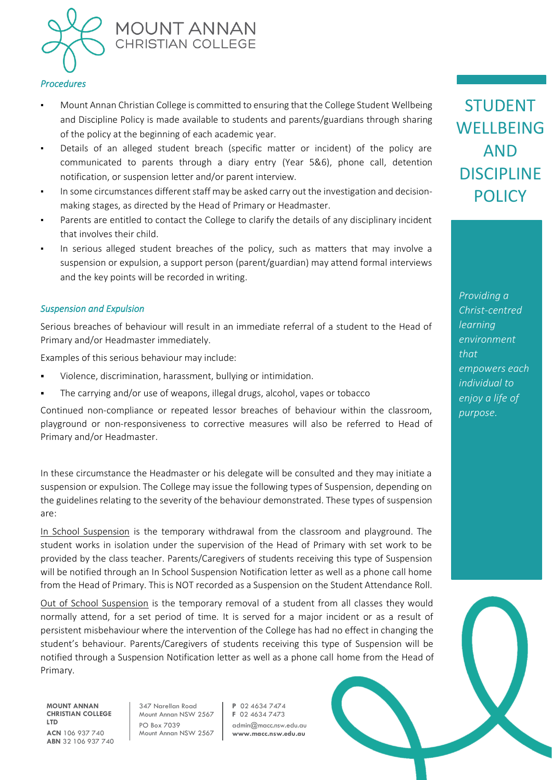

#### *Procedures*

- Mount Annan Christian College is committed to ensuring that the College Student Wellbeing and Discipline Policy is made available to students and parents/guardians through sharing of the policy at the beginning of each academic year.
- Details of an alleged student breach (specific matter or incident) of the policy are communicated to parents through a diary entry (Year 5&6), phone call, detention notification, or suspension letter and/or parent interview.
- In some circumstances different staff may be asked carry out the investigation and decisionmaking stages, as directed by the Head of Primary or Headmaster.
- Parents are entitled to contact the College to clarify the details of any disciplinary incident that involves their child.
- In serious alleged student breaches of the policy, such as matters that may involve a suspension or expulsion, a support person (parent/guardian) may attend formal interviews and the key points will be recorded in writing.

#### *Suspension and Expulsion*

Serious breaches of behaviour will result in an immediate referral of a student to the Head of Primary and/or Headmaster immediately.

Examples of this serious behaviour may include:

- Violence, discrimination, harassment, bullying or intimidation.
- The carrying and/or use of weapons, illegal drugs, alcohol, vapes or tobacco

Continued non-compliance or repeated lessor breaches of behaviour within the classroom, playground or non-responsiveness to corrective measures will also be referred to Head of Primary and/or Headmaster.

In these circumstance the Headmaster or his delegate will be consulted and they may initiate a suspension or expulsion. The College may issue the following types of Suspension, depending on the guidelines relating to the severity of the behaviour demonstrated. These types of suspension are:

In School Suspension is the temporary withdrawal from the classroom and playground. The student works in isolation under the supervision of the Head of Primary with set work to be provided by the class teacher. Parents/Caregivers of students receiving this type of Suspension will be notified through an In School Suspension Notification letter as well as a phone call home from the Head of Primary. This is NOT recorded as a Suspension on the Student Attendance Roll.

Out of School Suspension is the temporary removal of a student from all classes they would normally attend, for a set period of time. It is served for a major incident or as a result of persistent misbehaviour where the intervention of the College has had no effect in changing the student's behaviour. Parents/Caregivers of students receiving this type of Suspension will be notified through a Suspension Notification letter as well as a phone call home from the Head of Primary.

**MOUNT ANNAN CHRISTIAN COLLEGE LTD ACN** 106 937 740 **ABN** 32 106 937 740 347 Narellan Road Mount Annan NSW 2567 PO Box 7039 Mount Annan NSW 2567 **P** 02 4634 7474 **F** 02 4634 7473 admin@macc.nsw.edu.au **www.macc.nsw.edu.au**

STUDENT **WELLBEING** AND DISCIPLINE **POLICY**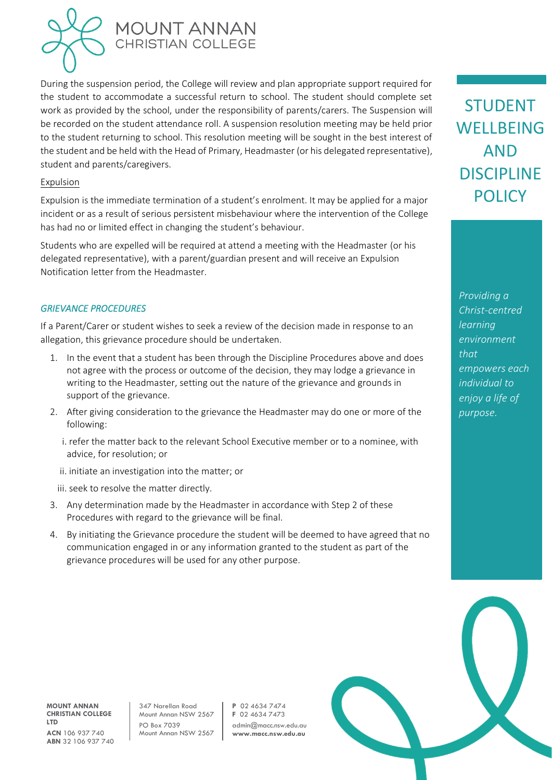

During the suspension period, the College will review and plan appropriate support required for the student to accommodate a successful return to school. The student should complete set work as provided by the school, under the responsibility of parents/carers. The Suspension will be recorded on the student attendance roll. A suspension resolution meeting may be held prior to the student returning to school. This resolution meeting will be sought in the best interest of the student and be held with the Head of Primary, Headmaster (or his delegated representative), student and parents/caregivers.

#### Expulsion

Expulsion is the immediate termination of a student's enrolment. It may be applied for a major incident or as a result of serious persistent misbehaviour where the intervention of the College has had no or limited effect in changing the student's behaviour.

Students who are expelled will be required at attend a meeting with the Headmaster (or his delegated representative), with a parent/guardian present and will receive an Expulsion Notification letter from the Headmaster.

#### *GRIEVANCE PROCEDURES*

If a Parent/Carer or student wishes to seek a review of the decision made in response to an allegation, this grievance procedure should be undertaken.

- 1. In the event that a student has been through the Discipline Procedures above and does not agree with the process or outcome of the decision, they may lodge a grievance in writing to the Headmaster, setting out the nature of the grievance and grounds in support of the grievance.
- 2. After giving consideration to the grievance the Headmaster may do one or more of the following:
	- i. refer the matter back to the relevant School Executive member or to a nominee, with advice, for resolution; or
	- ii. initiate an investigation into the matter; or

iii. seek to resolve the matter directly.

- 3. Any determination made by the Headmaster in accordance with Step 2 of these Procedures with regard to the grievance will be final.
- 4. By initiating the Grievance procedure the student will be deemed to have agreed that no communication engaged in or any information granted to the student as part of the grievance procedures will be used for any other purpose.

STUDENT WELLBEING AND DISCIPLINE **POLICY** 

*Providing a Christ-centred learning environment that empowers each individual to enjoy a life of purpose.*

**MOUNT ANNAN CHRISTIAN COLLEGE LTD ACN** 106 937 740 **ABN** 32 106 937 740

347 Narellan Road Mount Annan NSW 2567 PO Box 7039 Mount Annan NSW 2567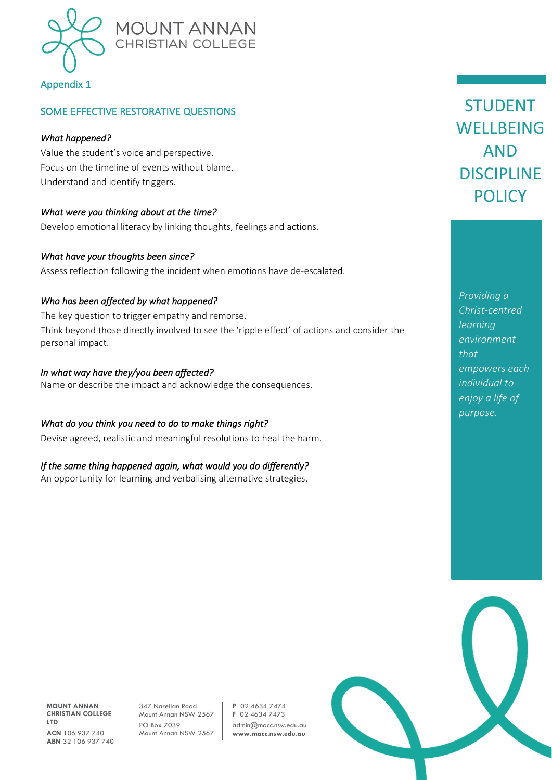

### SOME EFFECTIVE RESTORATIVE QUESTIONS

#### *What happened?*

Value the student's voice and perspective. Focus on the timeline of events without blame. Understand and identify triggers.

#### *What were you thinking about at the time?*

Develop emotional literacy by linking thoughts, feelings and actions.

#### *What have your thoughts been since?*

Assess reflection following the incident when emotions have de-escalated.

#### *Who has been affected by what happened?*

The key question to trigger empathy and remorse. Think beyond those directly involved to see the 'ripple effect' of actions and consider the personal impact.

#### *In what way have they/you been affected?*

Name or describe the impact and acknowledge the consequences.

#### *What do you think you need to do to make things right?*

Devise agreed, realistic and meaningful resolutions to heal the harm.

#### *If the same thing happened again, what would you do differently?*

An opportunity for learning and verbalising alternative strategies.

STUDENT WELLBEING AND DISCIPLINE **POLICY** 

*Providing a Christ-centred learning environment that empowers each individual to enjoy a life of purpose.*



**MOUNT ANNAN CHRISTIAN COLLEGE LTD ACN** 106 937 740 **ABN** 32 106 937 740 347 Narellan Road Mount Annan NSW 2567 PO Box 7039 Mount Annan NSW 2567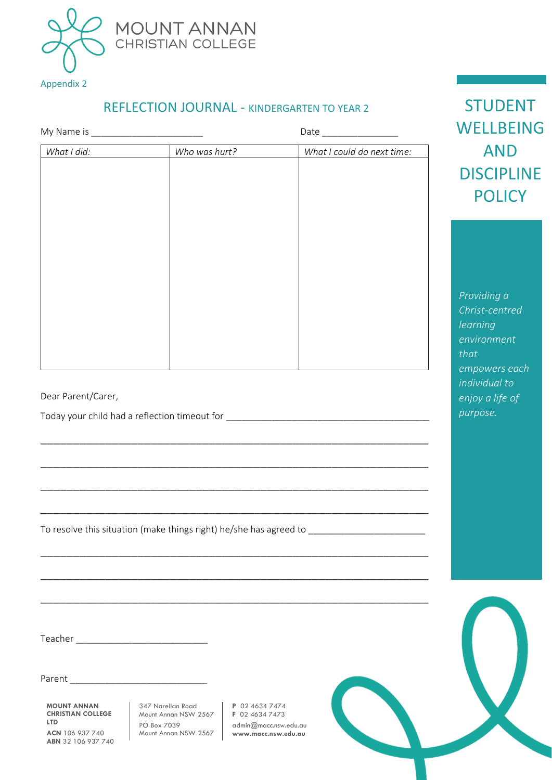

## REFLECTION JOURNAL - KINDERGARTEN TO YEAR 2

| What I did:        | Who was hurt? | What I could do next time:                                                                                            |
|--------------------|---------------|-----------------------------------------------------------------------------------------------------------------------|
|                    |               |                                                                                                                       |
|                    |               |                                                                                                                       |
|                    |               |                                                                                                                       |
|                    |               |                                                                                                                       |
|                    |               |                                                                                                                       |
|                    |               |                                                                                                                       |
|                    |               |                                                                                                                       |
|                    |               |                                                                                                                       |
|                    |               |                                                                                                                       |
|                    |               |                                                                                                                       |
|                    |               |                                                                                                                       |
|                    |               |                                                                                                                       |
|                    |               |                                                                                                                       |
|                    |               |                                                                                                                       |
|                    |               |                                                                                                                       |
|                    |               |                                                                                                                       |
|                    |               |                                                                                                                       |
|                    |               |                                                                                                                       |
|                    |               |                                                                                                                       |
|                    |               |                                                                                                                       |
|                    |               |                                                                                                                       |
|                    |               |                                                                                                                       |
|                    |               |                                                                                                                       |
|                    |               | <u> 1989 - Johann Stoff, deutscher Stoff, der Stoff, der Stoff, der Stoff, der Stoff, der Stoff, der Stoff, der S</u> |
|                    |               | To resolve this situation (make things right) he/she has agreed to _________________________________                  |
|                    |               |                                                                                                                       |
|                    |               |                                                                                                                       |
|                    |               |                                                                                                                       |
|                    |               |                                                                                                                       |
|                    |               |                                                                                                                       |
|                    |               |                                                                                                                       |
|                    |               |                                                                                                                       |
|                    |               |                                                                                                                       |
| Dear Parent/Carer, |               |                                                                                                                       |

STUDENT **/ELLBEING** AND **ISCIPLINE POLICY** 

*Providing a*  rist-centred *learning environment that empowers each individual to enjoy a life of purpose.*

**CHRISTIAN COLLEGE LTD ACN** 106 937 740 **ABN** 32 106 937 740

Mount Annan NSW 2567 PO Box 7039 Mount Annan NSW 2567 **F** 02 4634 7473 admin@macc.nsw.edu.au **www.macc.nsw.edu.au**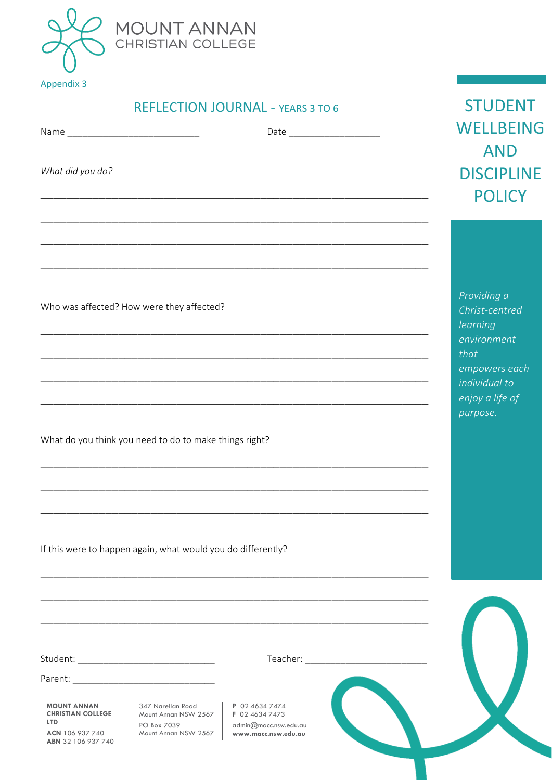

| <b>REFLECTION JOURNAL - YEARS 3 TO 6</b> |  |
|------------------------------------------|--|
|------------------------------------------|--|

|                                                                                                       | <b>REFLECTION JOURNAL - YEARS 3 TO 6</b>                                                                                                                                       | <b>STUDENT</b>                                                                                                     |
|-------------------------------------------------------------------------------------------------------|--------------------------------------------------------------------------------------------------------------------------------------------------------------------------------|--------------------------------------------------------------------------------------------------------------------|
|                                                                                                       |                                                                                                                                                                                | <b>WELLBEING</b>                                                                                                   |
| What did you do?                                                                                      |                                                                                                                                                                                | <b>AND</b><br><b>DISCIPLINE</b><br><b>POLICY</b>                                                                   |
|                                                                                                       |                                                                                                                                                                                | Providing a                                                                                                        |
| Who was affected? How were they affected?                                                             | <u> 1990 - Johann John Stoff, deutscher Stoff als der Stoff als der Stoff als der Stoff als der Stoff als der Stoff</u>                                                        | Christ-centred<br>learning<br>environment<br>that<br>empowers each<br>individual to<br>enjoy a life of<br>purpose. |
|                                                                                                       | What do you think you need to do to make things right?<br><u> 1989 - Johann John Harry, mars eta bat eta bat eta bat ez arte eta bat ez arte eta bat ez arte eta bat ez ar</u> |                                                                                                                    |
|                                                                                                       | If this were to happen again, what would you do differently?                                                                                                                   |                                                                                                                    |
|                                                                                                       |                                                                                                                                                                                |                                                                                                                    |
|                                                                                                       |                                                                                                                                                                                |                                                                                                                    |
| <b>MOUNT ANNAN</b><br><b>CHRISTIAN COLLEGE</b><br><b>LTD</b><br>ACN 106 937 740<br>ABN 32 106 937 740 | 347 Narellan Road<br>P 02 4634 7474<br>Mount Annan NSW 2567<br>F 02 4634 7473<br>PO Box 7039<br>admin@macc.nsw.edu.au<br>Mount Annan NSW 2567<br>www.macc.nsw.edu.au           |                                                                                                                    |